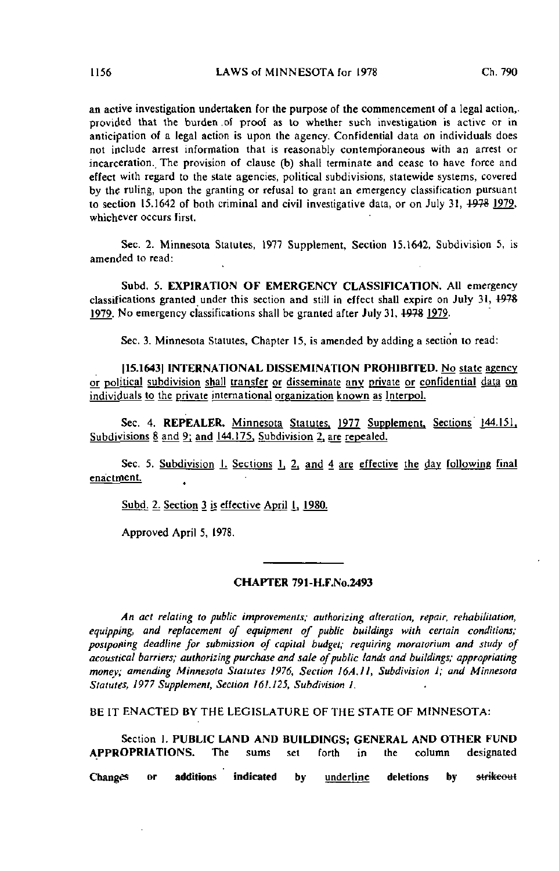an active investigation undertaken for the purpose of the commencement of a legal action, provided that the burden .of proof as to whether such investigation is active or in anticipation of a legal action is upon the agency. Confidential data on individuals does not include arrest information that is reasonably contemporaneous with an arrest or incarceration. The provision of clause (b) shall terminate and cease to have force and effect with regard to the state agencies, political subdivisions, statewide systems, covered by the ruling, upon the granting or refusal to grant an emergency classification pursuant to section 15.1642 of both criminal and civil investigative data, or on July 31,  $\frac{1978}{1979}$ , whichever occurs first.

Sec. 2. Minnesota Statutes, 1977 Supplement, Section 15.1642, Subdivision 5, is amended to read:

Subd. 5. EXPIRATION OF EMERGENCY CLASSIFICATION. All emergency classifications granted under this section and still in effect shall expire on July 31,  $\frac{1978}{1976}$ 1979. No emergency classifications shall be granted after July 31, 497S 1979.

Sec. 3. Minnesota Statutes, Chapter 15, is amended by adding a section to read:

[15.1643] INTERNATIONAL DISSEMINATION PROHIBITED. No state agency or political subdivision shall transfer or disseminate any private or confidential data on individuals to the private international organization known as Interpol.

Sec. 4. REPEALER. Minnesota Statutes, 1977 Supplement, Sections 144.151. Subdivisions 8 and 9; and 144.175. Subdivision 2, are repealed.

Sec. 5. Subdivision  $I$ . Sections  $I$ ,  $2$ , and  $4$  are effective the day following final enactment.

Subd. 2. Section 3 is effective April I. 1980.

Approved April 5, 1978.

## CHAPTER 791-H.F.No.2493

An act relating to public improvements; authorizing alteration, repair, rehabilitation, equipping, and replacement of equipment of public buildings with certain conditions; postponing deadline for submission of capital budget; requiring moratorium and study of acoustical barriers; authorizing purchase and sale of public lands and buildings; appropriating money; amending Minnesota Statutes 1976, Section 16A.II, Subdivision I; and Minnesota Statutes, 1977 Supplement, Section 161.125, Subdivision I.

BE IT ENACTED BY THE LEGISLATURE OF THE STATE OF MINNESOTA:

Section 1. PUBLIC LAND AND BUILDINGS; GENERAL AND OTHER FUND APPROPRIATIONS. The sums set forth in the column designated Changes or additions indicated by <u>underline</u> deletions by strikeout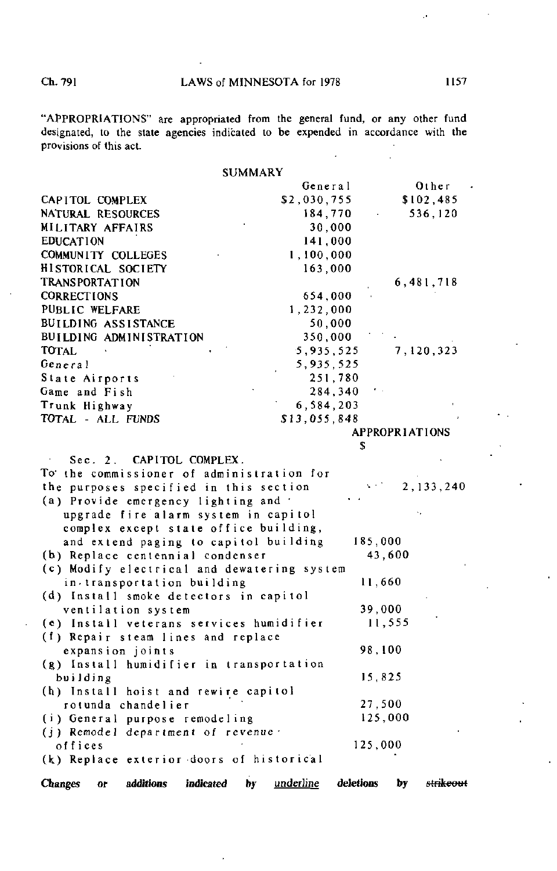"APPROPRIATIONS" are appropriated from the general fund, or any other fund designated, to the state agencies indicated to be expended in accordance with the provisions of this act.

SUMMARY

|                                                       |    | General      |           |                       | Other                |
|-------------------------------------------------------|----|--------------|-----------|-----------------------|----------------------|
| CAPITOL COMPLEX                                       |    | \$2,030,755  |           |                       | \$102,485            |
| NATURAL RESOURCES                                     |    | 184,770      |           |                       | 536,120              |
| MILITARY AFFAIRS                                      |    |              | 30,000    |                       |                      |
| <b>EDUCATION</b>                                      |    | 141 000      |           |                       |                      |
| COMMUNITY COLLEGES                                    |    | 1,100,000    |           |                       |                      |
| HISTORICAL SOCIETY                                    |    | 163,000      |           |                       |                      |
| TRANSPORTATION                                        |    |              |           |                       | 6,481,718            |
| <b>CORRECTIONS</b>                                    |    | 654.000      |           |                       |                      |
| PUBLIC WELFARE                                        |    | 1,232,000    |           |                       |                      |
| BUILDING ASSISTANCE                                   |    |              | 50.000    |                       |                      |
| BUILDING ADMINISTRATION                               |    | 350,000      |           |                       |                      |
| TOTAL                                                 |    | 5,935,525    |           |                       | 7,120,323            |
| General                                               |    | 5, 935, 525  |           |                       |                      |
| State Airports                                        |    |              | 251,780   |                       |                      |
| Game and Fish                                         |    |              | 284,340   |                       |                      |
| Trunk Highway                                         |    | 6,584,203    |           |                       |                      |
| TOTAL - ALL FUNDS                                     |    | \$13,055,848 |           |                       |                      |
|                                                       |    |              |           | <b>APPROPRIATIONS</b> |                      |
|                                                       |    |              | \$        |                       |                      |
| <b>CAPITOL COMPLEX</b><br>Sec. 2.                     |    |              |           |                       |                      |
| To the commissioner of administration for             |    |              |           |                       |                      |
| the purposes specified in this section                |    |              |           |                       | 2, 133, 240          |
| (a) Provide emergency lighting and                    |    |              |           |                       |                      |
| upgrade fire alarm system in capitol                  |    |              |           |                       |                      |
| complex except state office building,                 |    |              |           |                       |                      |
| and extend paging to capitol building                 |    |              | 185,000   |                       |                      |
| (b) Replace centennial condenser                      |    |              |           | 43,600                |                      |
| (c) Modify electrical and dewatering system           |    |              |           |                       |                      |
| in transportation building                            |    |              |           | 11,660                |                      |
| (d) Install smoke detectors in capitol                |    |              |           |                       |                      |
| ventilation system                                    |    |              |           | 39,000                |                      |
| (e) Install veterans services humidifier              |    |              |           | 11,555                |                      |
| (f) Repair steam lines and replace                    |    |              |           |                       |                      |
| expansion joints                                      |    |              |           | 98,100                |                      |
| (g) Install humidifier in transportation              |    |              |           |                       |                      |
| building                                              |    |              |           | 15,825                |                      |
| (h) Install hoist and rewire capitol                  |    |              |           |                       |                      |
| rotunda chandelier                                    |    |              |           | 27,500                |                      |
| (i) General purpose remodeling                        |    |              |           | 125,000               |                      |
| (j) Remodel department of revenue .                   |    |              |           |                       |                      |
| offices                                               |    |              | 125,000   |                       |                      |
| (k) Replace exterior doors of historical              |    |              |           |                       |                      |
| <b>Changes</b><br>additions<br>indicated<br><b>OF</b> | hv | underline    | deletions | by                    | <del>strikeout</del> |

 $\ddot{\phantom{0}}$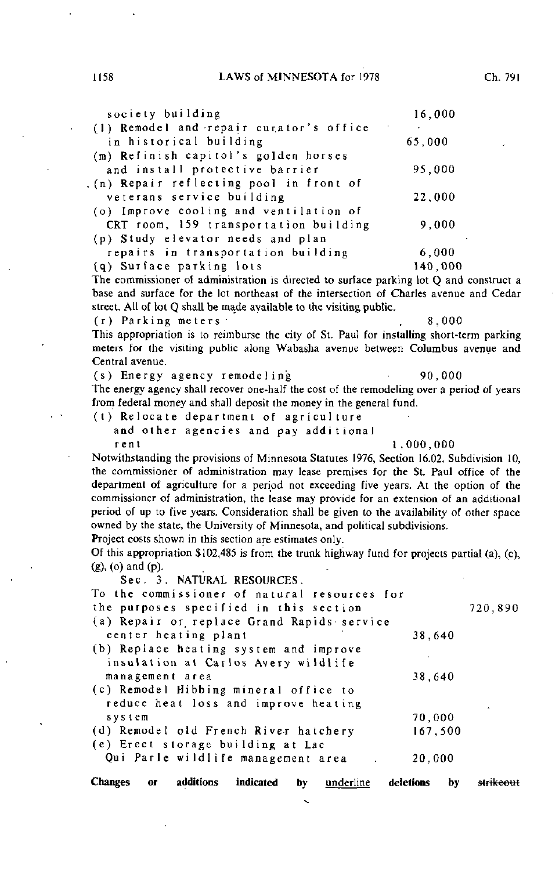## 1158 LAWS of MINNESOTA for 1978 Ch. 791

| society building                        | 16,000  |  |
|-----------------------------------------|---------|--|
| (1) Remodel and repair curator's office |         |  |
| in historical building                  | 65,000  |  |
| (m) Refinish capitol's golden horses    |         |  |
| and install protective barrier          | 95,000  |  |
| (n) Repair reflecting pool in front of  |         |  |
| veterans service building               | 22,000  |  |
| (o) Improve cooling and ventilation of  |         |  |
| CRT room, 159 transportation building   | 9,000   |  |
| (p) Study elevator needs and plan       |         |  |
| repairs in transportation building      | 6,000   |  |
| (q) Surface parking lots                | 140.000 |  |
|                                         |         |  |

The commissioner of administration is directed to surface parking lot Q and construct a base and surface for the lot northeast of the intersection of Charles avenue and Cedar street. All of lot Q shall be made available to the visiting public.

(r) Parking meters . 8,000

This appropriation is to reimburse the city of St. Paul for installing short-term parking meters for the visiting public along Wabasha avenue between Columbus avenue and Central avenue.

(s) Energy agency remodeling  $90,000$ 

The energy agency shall recover one-half the cost of the remodeling over a period of years from federal money and shall deposit the money in the general fund.

(t) Relocate department of agriculture

and other agencies and pay additional rent 1,000,000

Notwithstanding the provisions of Minnesota Statutes 1976, Section 16.02, Subdivision 10, the commissioner of administration may lease premises for the St. Paul office of the department of agriculture for a period not exceeding five years. At the option of the commissioner of administration, the lease may provide for an extension of an additional period of up to five years. Consideration shall be given to the availability of other space owned by the state, the University of Minnesota, and political subdivisions. Project costs shown in this section are estimates only.

Of this appropriation \$102,485 is from the trunk highway fund for projects partial (a), (c), (g), (o) and (p).

Sec. 3. NATURAL RESOURCES.

| To the commissioner of natural resources for<br>the purposes specified in this section |         | 720,890 |
|----------------------------------------------------------------------------------------|---------|---------|
| (a) Repair or replace Grand Rapids service                                             |         |         |
| center heating plant                                                                   | 38,640  |         |
| (b) Replace heating system and improve                                                 |         |         |
| insulation at Carlos Avery wildlife                                                    |         |         |
| management area                                                                        | 38,640  |         |
| (c) Remodel Hibbing mineral office to                                                  |         |         |
| reduce heat loss and improve heating                                                   |         |         |
| system                                                                                 | 70,000  |         |
| (d) Remodel old French River hatchery                                                  | 167,500 |         |
| (e) Erect storage building at Lac                                                      |         |         |
| Qui Parle wildlife management area                                                     | 20,000  |         |
|                                                                                        |         |         |

Changes or additions indicated by **underline** deletions by strikeout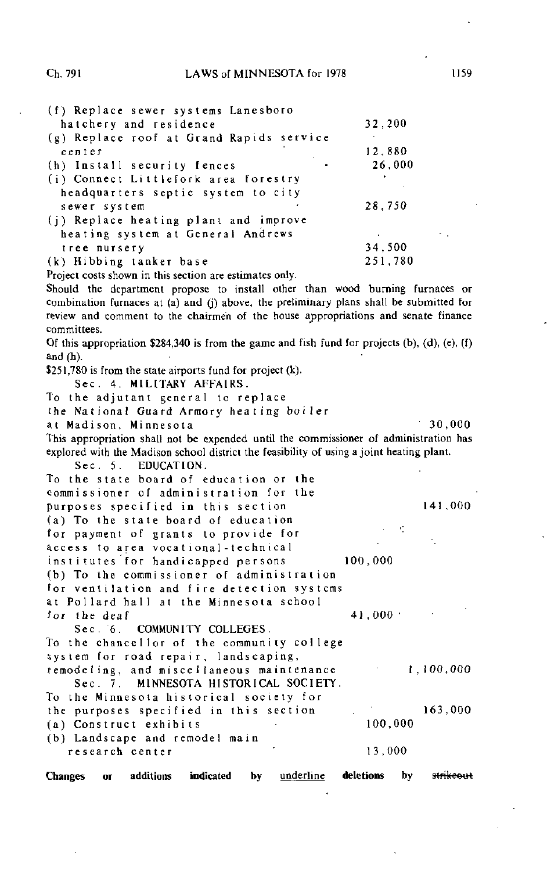| (f) Replace sewer systems Lanesboro      |         |
|------------------------------------------|---------|
| hatchery and residence                   | 32,200  |
| (g) Replace roof at Grand Rapids service |         |
| center                                   | 12,880  |
| (h) Install security fences              | 26,000  |
| (i) Connect Littlefork area forestry     |         |
| headquarters septic system to city       |         |
| sewer system                             | 28,750  |
| (j) Replace heating plant and improve    |         |
| heating system at General Andrews        | ٠       |
| tree nursery                             | 34,500  |
| (k) Hibbing tanker base                  | 251,780 |

Project costs shown in this section are estimates only.

Should the department propose to install other than wood burning furnaces or combination furnaces at (a) and (j) above, the preliminary plans shall be submitted for review and comment to the chairmen of the house appropriations and senate finance committees.

Of this appropriation  $$284,340$  is from the game and fish fund for projects (b), (d), (e), (f) and (h).

\$251,780 is from the state airports fund for project (k).

Sec . 4. MILITARY AFFAIRS.

To the adjutant general to replace

the National Guard Armory heating boiler

a t Madison, Minnesota a 30,000

This appropriation shall not be expended until the commissioner of administration has explored with the Madison school district the feasibility of using a joint heating plant.

Sec. 5. EDUCATION.

To the state board of education or the commissioner of administration for the purposes specified in this section 141,000 (a) To the state board of education for payment of grants to provide for access toareavocational-technica l institutes for handicapped persons 100,000 (b) To the commissioner of administration for ventilation and fire detection systems at Pollard hall at the Minnesota school for the deaf  $41,000$ Sec. 6. COMMUNITY COLLEGES. To the chancellor of the community college system for road repair, landscaping, remodeling, and miscellaneous maintenance 1,100,000 Sec. 7. MINNESOTA HISTORICAL SOCIETY. To the Minnesota historical society for the purposes specified in this section 163,000 (a) Construct exhibits 100,000 (b) Landscape and remodel main

research center 13,000

Changes or additions indicated by <u>underline</u> deletions by <del>strikeout</del>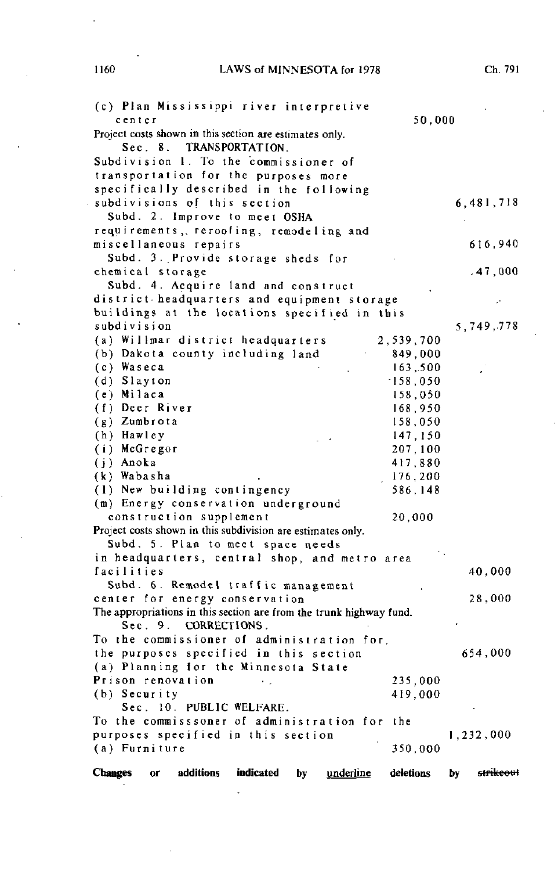1160 LAWS of MINNESOTA for 1978 Ch. 791

J

| (c) Plan Mississippi river interpretive<br>center<br>Project costs shown in this section are estimates only.<br>Sec. 8. TRANSPORTATION.<br>Subdivision 1. To the commissioner of | 50,000    |                 |
|----------------------------------------------------------------------------------------------------------------------------------------------------------------------------------|-----------|-----------------|
| transportation for the purposes more<br>specifically described in the following<br>subdivisions of this section<br>Subd. 2. Improve to meet OSHA                                 |           | 6,481,718       |
| requirements, reroofing, remodeling and<br>miscellaneous repairs                                                                                                                 |           | 616,940         |
| Subd. 3. Provide storage sheds for<br>chemical storage                                                                                                                           |           | .47,000         |
| Subd. 4. Acquire land and construct                                                                                                                                              |           |                 |
| district headquarters and equipment storage                                                                                                                                      |           |                 |
| buildings at the locations specified in this                                                                                                                                     |           |                 |
| subdivision                                                                                                                                                                      |           | 5,749,778       |
| (a) Willmar district headquarters                                                                                                                                                | 2,539,700 |                 |
| (b) Dakota county including land                                                                                                                                                 | 849,000   |                 |
| (c) Waseca                                                                                                                                                                       | 163,500   |                 |
| (d) Slayton                                                                                                                                                                      | 158,050   |                 |
| (e) Milaca                                                                                                                                                                       | 158,050   |                 |
| (f) Deer River                                                                                                                                                                   | 168,950   |                 |
| (g) Zumbrota                                                                                                                                                                     | 158,050   |                 |
| (h) Hawley                                                                                                                                                                       | 147,150   |                 |
| (i) McGregor                                                                                                                                                                     | 207,100   |                 |
| (j) Anoka                                                                                                                                                                        | 417,880   |                 |
| (k) Wabasha                                                                                                                                                                      | 176,200   |                 |
| (1) New building contingency                                                                                                                                                     | 586,148   |                 |
| (m) Energy conservation underground                                                                                                                                              |           |                 |
| construction supplement                                                                                                                                                          | 20,000    |                 |
| Project costs shown in this subdivision are estimates only.                                                                                                                      |           |                 |
| Subd. 5. Plan to meet space needs                                                                                                                                                |           |                 |
| in headquarters, central shop, and metro area                                                                                                                                    |           |                 |
| facilities                                                                                                                                                                       |           | 40,000          |
| Subd. 6. Remodel traffic management                                                                                                                                              |           |                 |
| center for energy conservation                                                                                                                                                   |           | 28,000          |
| The appropriations in this section are from the trunk highway fund.                                                                                                              |           |                 |
| Sec. 9. CORRECTIONS.                                                                                                                                                             |           |                 |
| To the commissioner of administration for,                                                                                                                                       |           |                 |
| the purposes specified in this section                                                                                                                                           |           | 654,000         |
| (a) Planning for the Minnesota State                                                                                                                                             |           |                 |
| Prison renovation                                                                                                                                                                | 235,000   |                 |
| (b) Security                                                                                                                                                                     | 419,000   |                 |
| Sec. 10. PUBLIC WELFARE.                                                                                                                                                         |           |                 |
| To the commisssoner of administration for the                                                                                                                                    |           |                 |
| purposes specified in this section                                                                                                                                               |           | 1,232,000       |
| (a) Furniture                                                                                                                                                                    | 350,000   |                 |
| additions<br><b>Changes</b><br>indicated<br><u>underline</u><br>by<br>0ľ                                                                                                         | deletions | strikeout<br>by |

 $\ddot{\phantom{a}}$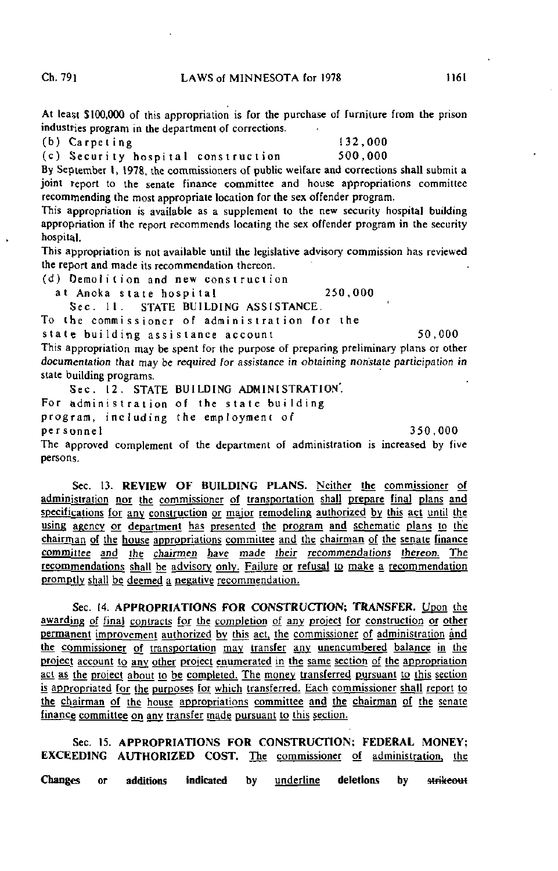At least \$100,000 of this appropriation is for the purchase of furniture from the prison industries program in the department of corrections.

(b) Carpeting 132,000

(c) Security hospital construction 500,000

By September I, 1978, the commissioners of public welfare and corrections shall submit a joint report to the senate finance committee and house appropriations committee recommending the most appropriate location for the sex offender program.

This appropriation is available as a supplement to the new security hospital building appropriation if the report recommends locating the sex offender program in the security hospital.

This appropriation is not available until the legislative advisory commission has reviewed the report and made its recommendation thereon.

(d) Demolition and new construction

at Anoka state hospital 250,000

Sec. 11. STATE BUILDING ASSISTANCE.

To the commissioner of administration for the state building assistance account 50,000 This appropriation may be spent for the purpose of preparing preliminary plans or other documentation that may be required for assistance in obtaining nonstate participation in

state building programs.

Sec . 12. STATE BUILDING ADMINISTRATION'. For administration of the state building program, including the employment of personne l 350,000

The approved complement of the department of administration is increased by five persons.

Sec. 13. REVIEW OF BUILDING PLANS. Neither the commissioner of administration nor the commissioner of transportation shall prepare final plans and specifications for any construction or major remodeling authorized by this act until the using agency or department has presented the program and schematic plans to the chairman of the house appropriations committee and the chairman of the senate finance committee and the chairmen have made their recommendations thereon. The recommendations shall be advisory only. Failure or refusal to make a recommendation promptly shall be deemed a negative recommendation.

Sec. 14. APPROPRIATIONS FOR CONSTRUCTION; TRANSFER. Upon the awarding of final contracts for the completion of any project for construction or other permanent improvement authorized by this act, the commissioner of administration and the commissioner of transportation may transfer any unencumbered balance in the project account to any other project enumerated in the same section of the appropriation act as the project about to be completed. The money transferred pursuant to this section is appropriated for the purposes for which transferred. Each commissioner shall report to the chairman of the house appropriations committee and the chairman of the senate finance committee on any transfer made pursuant to this section.

Sec. 15. APPROPRIATIONS FOR CONSTRUCTION; FEDERAL MONEY; EXCEEDING AUTHORIZED COST. The commissioner of administration, the Changes or additions indicated by underline deletions by strikeout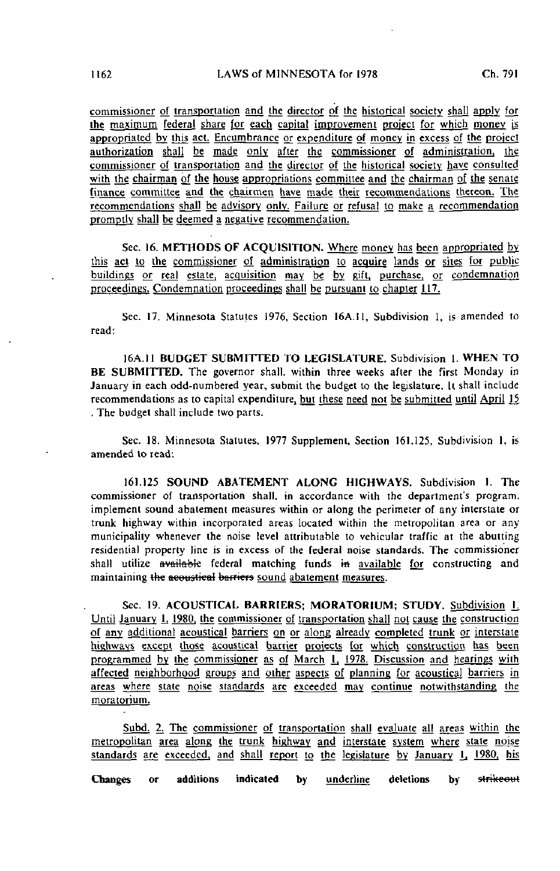commissioner of transportation and the director of the historical society shall apply for the maximum federal share for each capital improvement project for which money is appropriated by this act. Encumbrance or expenditure of money in excess of the project authorization shall be made only after the commissioner of administration, the commissioner of transportation and the director of the historical society have consulted with the chairman of the house appropriations committee and the chairman of the senate finance committee and the chairmen have made their recommendations thereon. The recommendations shall be advisory only. Failure or refusal to make a recommendation promptly shall be deemed a negative recommendation.

Sec. 16. METHODS OF ACQUISITION. Where money has been appropriated by this act to the commissioner of administration to acquire lands or sites for public buildings or real estate, acquisition may be by gift, purchase, or condemnation proceedings. Condemnation proceedings shall be pursuant to chapter 117.

Sec. 17. Minnesota Statutes 1976, Section 16A.11, Subdivision 1, is amended to read:

16A.11 BUDGET SUBMITTED TO LEGISLATURE. Subdivision 1. WHEN TO BE SUBMITTED. The governor shall, within three weeks after the first Monday in January in each odd-numbered year, submit the budget to the legislature. It shall include recommendations as to capital expenditure, but these need not be submitted until April 15 . The budget shall include two parts.

Sec. 18. Minnesota Statutes, 1977 Supplement, Section 161.125, Subdivision 1. is amended to read:

161.125 SOUND ABATEMENT ALONG HIGHWAYS. Subdivision 1. The commissioner of transportation shall, in accordance with the department's program, implement sound abatement measures within or along the perimeter of any interstate or trunk highway within incorporated areas located within the metropolitan area or any municipality whenever the noise level attributable to vehicular traffic at the abutting residential property line is in excess of the federal noise standards. The commissioner shall utilize available federal matching funds in available for constructing and maintaining the acoustical barriers sound abatement measures.

Sec. 19. ACOUSTICAL BARRIERS; MORATORIUM; STUDY. Subdivision L Until January 1, 1980, the commissioner of transportation shall not cause the construction of any additional acoustical barriers on or along already completed trunk or interstate highways except those acoustical barrier projects for which construction has been programmed by the commissioner as of March 1, 1978. Discussion and hearings with affected neighborhood groups and other aspects of planning for acoustical barriers in areas where state noise standards are exceeded may continue notwithstanding the moratorium^

Subd. 2. The commissioner of transportation shall evaluate all areas within the metropolitan area along the trunk highway and interstate system where state noise standards are exceeded, and shall report to the legislature by January I, 1980, his

Changes or additions indicated by <u>underline</u> deletions by strikeout